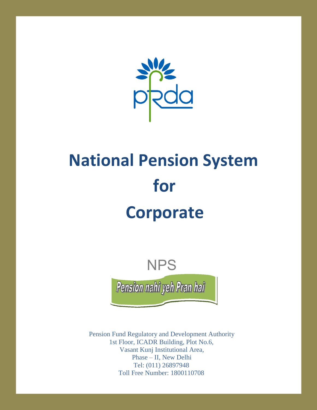

# **National Pension System for Corporate**



Pension Fund Regulatory and Development Authority 1st Floor, ICADR Building, Plot No.6, Vasant Kunj Institutional Area, Phase – II, New Delhi Tel: (011) 26897948 Toll Free Number: 1800110708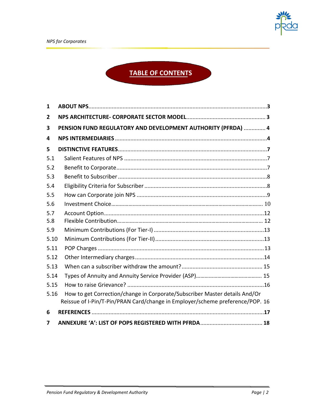## **TABLE OF CONTENTS**

| 1    |                                                                                                                                                             |  |  |
|------|-------------------------------------------------------------------------------------------------------------------------------------------------------------|--|--|
| 2    |                                                                                                                                                             |  |  |
| 3    | PENSION FUND REGULATORY AND DEVELOPMENT AUTHORITY (PFRDA)  4                                                                                                |  |  |
| 4    |                                                                                                                                                             |  |  |
| 5    |                                                                                                                                                             |  |  |
| 5.1  |                                                                                                                                                             |  |  |
| 5.2  |                                                                                                                                                             |  |  |
| 5.3  |                                                                                                                                                             |  |  |
| 5.4  |                                                                                                                                                             |  |  |
| 5.5  |                                                                                                                                                             |  |  |
| 5.6  |                                                                                                                                                             |  |  |
| 5.7  |                                                                                                                                                             |  |  |
| 5.8  |                                                                                                                                                             |  |  |
| 5.9  |                                                                                                                                                             |  |  |
| 5.10 |                                                                                                                                                             |  |  |
| 5.11 |                                                                                                                                                             |  |  |
| 5.12 |                                                                                                                                                             |  |  |
| 5.13 |                                                                                                                                                             |  |  |
| 5.14 |                                                                                                                                                             |  |  |
| 5.15 |                                                                                                                                                             |  |  |
| 5.16 | How to get Correction/change in Corporate/Subscriber Master details And/Or<br>Reissue of I-Pin/T-Pin/PRAN Card/change in Employer/scheme preference/POP. 16 |  |  |
| 6    |                                                                                                                                                             |  |  |
| 7    |                                                                                                                                                             |  |  |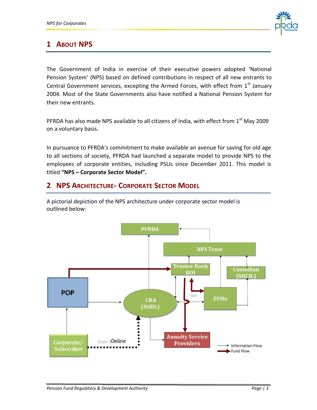

## **1 ABOUT NPS**

The Government of India in exercise of their executive powers adopted 'National Pension System' (NPS) based on defined contributions in respect of all new entrants to Central Government services, excepting the Armed Forces, with effect from  $1<sup>st</sup>$  January 2004. Most of the State Governments also have notified a National Pension System for their new entrants.

PFRDA has also made NPS available to all citizens of India, with effect from  $1<sup>st</sup>$  May 2009 on a voluntary basis.

In pursuance to PFRDA's commitment to make available an avenue for saving for old age to all sections of society, PFRDA had launched a separate model to provide NPS to the employees of corporate entities, including PSUs since December 2011. This model is titled **"NPS – Corporate Sector Model".**

## **2 NPS ARCHITECTURE- CORPORATE SECTOR MODEL**

A pictorial depiction of the NPS architecture under corporate sector model is outlined below:

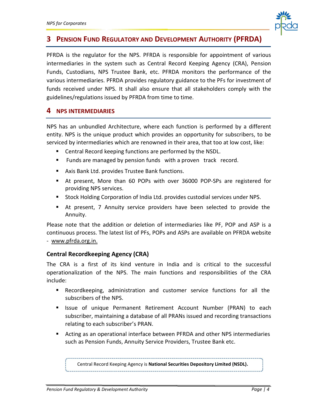

## **3 PENSION FUND REGULATORY AND DEVELOPMENT AUTHORITY (PFRDA)**

PFRDA is the regulator for the NPS. PFRDA is responsible for appointment of various intermediaries in the system such as Central Record Keeping Agency (CRA), Pension Funds, Custodians, NPS Trustee Bank, etc. PFRDA monitors the performance of the various intermediaries. PFRDA provides regulatory guidance to the PFs for investment of funds received under NPS. It shall also ensure that all stakeholders comply with the guidelines/regulations issued by PFRDA from time to time.

#### **4 NPS INTERMEDIARIES**

NPS has an unbundled Architecture, where each function is performed by a different entity. NPS is the unique product which provides an opportunity for subscribers, to be serviced by intermediaries which are renowned in their area, that too at low cost, like:

- Central Record keeping functions are performed by the NSDL.
- **Funds are managed by pension funds with a proven track record.**
- Axis Bank Ltd. provides Trustee Bank functions.
- At present, More than 60 POPs with over 36000 POP-SPs are registered for providing NPS services.
- Stock Holding Corporation of India Ltd. provides custodial services under NPS.
- At present, 7 Annuity service providers have been selected to provide the Annuity.

Please note that the addition or deletion of intermediaries like PF, POP and ASP is a continuous process. The latest list of PFs, POPs and ASPs are available on PFRDA website - [www.pfrda.org.in.](http://www.pfrda.org.in/)

#### **Central Recordkeeping Agency (CRA)**

The CRA is a first of its kind venture in India and is critical to the successful operationalization of the NPS. The main functions and responsibilities of the CRA include:

- Recordkeeping, administration and customer service functions for all the subscribers of the NPS.
- **E** Issue of unique Permanent Retirement Account Number (PRAN) to each subscriber, maintaining a database of all PRANs issued and recording transactions relating to each subscriber's PRAN.
- Acting as an operational interface between PFRDA and other NPS intermediaries such as Pension Funds, Annuity Service Providers, Trustee Bank etc.

Central Record Keeping Agency is **National Securities Depository Limited (NSDL).**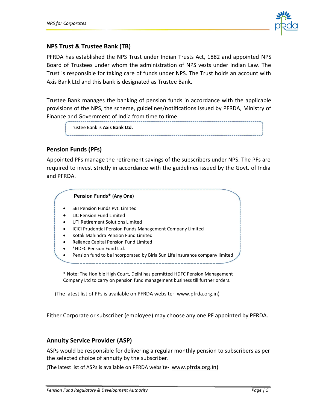

#### **NPS Trust & Trustee Bank (TB)**

PFRDA has established the NPS Trust under Indian Trusts Act, 1882 and appointed NPS Board of Trustees under whom the administration of NPS vests under Indian Law. The Trust is responsible for taking care of funds under NPS. The Trust holds an account with Axis Bank Ltd and this bank is designated as Trustee Bank.

Trustee Bank manages the banking of pension funds in accordance with the applicable provisions of the NPS, the scheme, guidelines/notifications issued by PFRDA, Ministry of Finance and Government of India from time to time.

| Trustee Bank is Axis Bank Ltd. |  |
|--------------------------------|--|
|                                |  |
|                                |  |

#### **Pension Funds (PFs)**

Appointed PFs manage the retirement savings of the subscribers under NPS. The PFs are required to invest strictly in accordance with the guidelines issued by the Govt. of India and PFRDA.

#### **Pension Funds\* (Any One)**

- SBI Pension Funds Pvt. Limited
- LIC Pension Fund Limited
- UTI Retirement Solutions Limited
- ICICI Prudential Pension Funds Management Company Limited
- Kotak Mahindra Pension Fund Limited
- Reliance Capital Pension Fund Limited
- \*HDFC Pension Fund Ltd.
- Pension fund to be incorporated by Birla Sun Life Insurance company limited

\* Note: The Hon'ble High Court, Delhi has permitted [HDFC Pension Management](http://www.hdfcpension.com/)  [Company Ltd](http://www.hdfcpension.com/) to carry on pension fund management business till further orders.

(The latest list of PFs is available on PFRDA website- [www.pfrda.org.in\)](http://www.pfrda.org.in/)

Either Corporate or subscriber (employee) may choose any one PF appointed by PFRDA.

#### **Annuity Service Provider (ASP)**

ASPs would be responsible for delivering a regular monthly pension to subscribers as per the selected choice of annuity by the subscriber.

(The latest list of ASPs is available on PFRDA website- www.pfrda.org.in)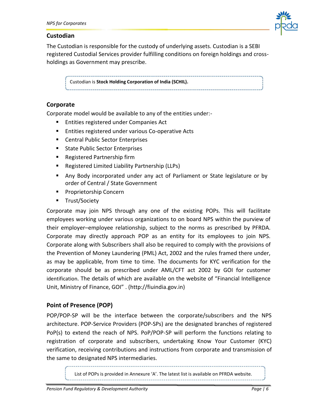

#### **Custodian**

The Custodian is responsible for the custody of underlying assets. Custodian is a SEBI registered Custodial Services provider fulfilling conditions on foreign holdings and crossholdings as Government may prescribe.

Custodian is **Stock Holding Corporation of India (SCHIL).**

#### **Corporate**

Corporate model would be available to any of the entities under:-

- **Entities registered under Companies Act**
- **Entities registered under various Co-operative Acts**
- Central Public Sector Enterprises
- **State Public Sector Enterprises**
- Registered Partnership firm
- Registered Limited Liability Partnership (LLPs)
- Any Body incorporated under any act of Parliament or State legislature or by order of Central / State Government
- **Proprietorship Concern**
- **Trust/Society**

Corporate may join NPS through any one of the existing POPs. This will facilitate employees working under various organizations to on board NPS within the purview of their employer–employee relationship, subject to the norms as prescribed by PFRDA. Corporate may directly approach POP as an entity for its employees to join NPS. Corporate along with Subscribers shall also be required to comply with the provisions of the Prevention of Money Laundering (PML) Act, 2002 and the rules framed there under, as may be applicable, from time to time. The documents for KYC verification for the corporate should be as prescribed under AML/CFT act 2002 by GOI for customer identification. The details of which are available on the website of "Financial Intelligence Unit, Ministry of Finance, GOI" [. \(http://fiuindia.gov.in\)](http://fiuindia.gov.in/)

#### **Point of Presence (POP)**

POP/POP-SP will be the interface between the corporate/subscribers and the NPS architecture. POP-Service Providers (POP-SPs) are the designated branches of registered PoP(s) to extend the reach of NPS. PoP/POP-SP will perform the functions relating to registration of corporate and subscribers, undertaking Know Your Customer (KYC) verification, receiving contributions and instructions from corporate and transmission of the same to designated NPS intermediaries.

> í List of POPs is provided in Annexure 'A'. The latest list is available on PFRDA website.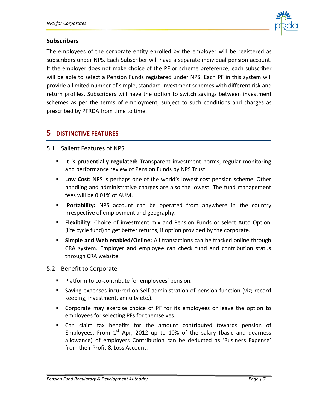

#### **Subscribers**

The employees of the corporate entity enrolled by the employer will be registered as subscribers under NPS. Each Subscriber will have a separate individual pension account. If the employer does not make choice of the PF or scheme preference, each subscriber will be able to select a Pension Funds registered under NPS. Each PF in this system will provide a limited number of simple, standard investment schemes with different risk and return profiles. Subscribers will have the option to switch savings between investment schemes as per the terms of employment, subject to such conditions and charges as prescribed by PFRDA from time to time.

#### **5 DISTINCTIVE FEATURES**

#### 5.1 Salient Features of NPS

- **It is prudentially regulated:** Transparent investment norms, regular monitoring and performance review of Pension Funds by NPS Trust.
- **Low Cost:** NPS is perhaps one of the world's lowest cost pension scheme. Other handling and administrative charges are also the lowest. The fund management fees will be 0.01% of AUM.
- **Portability:** NPS account can be operated from anywhere in the country irrespective of employment and geography.
- **Flexibility:** Choice of investment mix and Pension Funds or select Auto Option (life cycle fund) to get better returns, if option provided by the corporate.
- **Simple and Web enabled/Online:** All transactions can be tracked online through CRA system. Employer and employee can check fund and contribution status through CRA website.

#### 5.2 Benefit to Corporate

- **Platform to co-contribute for employees' pension.**
- Saving expenses incurred on Self administration of pension function (viz; record keeping, investment, annuity etc.).
- Corporate may exercise choice of PF for its employees or leave the option to employees for selecting PFs for themselves.
- Can claim tax benefits for the amount contributed towards pension of Employees. From  $1^{st}$  Apr, 2012 up to 10% of the salary (basic and dearness allowance) of employers Contribution can be deducted as 'Business Expense' from their Profit & Loss Account.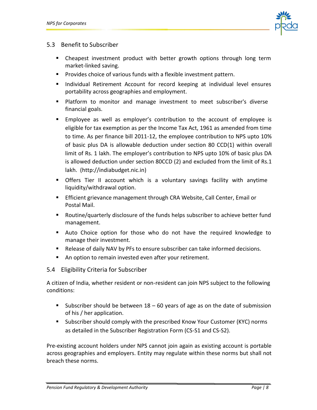

#### 5.3 Benefit to Subscriber

- Cheapest investment product with better growth options through long term market-linked saving.
- **Provides choice of various funds with a flexible investment pattern.**
- **Individual Retirement Account for record keeping at individual level ensures** portability across geographies and employment.
- **Platform to monitor and manage investment to meet subscriber's diverse** financial goals.
- Employee as well as employer's contribution to the account of employee is eligible for tax exemption as per the Income Tax Act, 1961 as amended from time to time. As per finance bill 2011-12, the employee contribution to NPS upto 10% of basic plus DA is allowable deduction under section 80 CCD(1) within overall limit of Rs. 1 lakh. The employer's contribution to NPS upto 10% of basic plus DA is allowed deduction under section 80CCD (2) and excluded from the limit of Rs.1 lakh. [\(http://indiabudget.nic.in\)](http://indiabudget.nic.in/)
- Offers Tier II account which is a voluntary savings facility with anytime liquidity/withdrawal option.
- Efficient grievance management through CRA Website, Call Center, Email or Postal Mail.
- Routine/quarterly disclosure of the funds helps subscriber to achieve better fund management.
- Auto Choice option for those who do not have the required knowledge to manage their investment.
- Release of daily NAV by PFs to ensure subscriber can take informed decisions.
- An option to remain invested even after your retirement.

#### 5.4 Eligibility Criteria for Subscriber

A citizen of India, whether resident or non-resident can join NPS subject to the following conditions:

- Subscriber should be between  $18 60$  years of age as on the date of submission of his / her application.
- **Subscriber should comply with the prescribed Know Your Customer (KYC) norms** as detailed in the Subscriber Registration Form (CS-S1 and CS-S2).

Pre-existing account holders under NPS cannot join again as existing account is portable across geographies and employers. Entity may regulate within these norms but shall not breach these norms.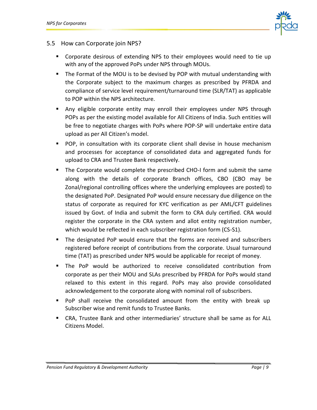

#### 5.5 How can Corporate join NPS?

- Corporate desirous of extending NPS to their employees would need to tie up with any of the approved PoPs under NPS through MOUs.
- The Format of the MOU is to be devised by POP with mutual understanding with the Corporate subject to the maximum charges as prescribed by PFRDA and compliance of service level requirement/turnaround time (SLR/TAT) as applicable to POP within the NPS architecture.
- Any eligible corporate entity may enroll their employees under NPS through POPs as per the existing model available for All Citizens of India. Such entities will be free to negotiate charges with PoPs where POP-SP will undertake entire data upload as per All Citizen's model.
- **POP, in consultation with its corporate client shall devise in house mechanism** and processes for acceptance of consolidated data and aggregated funds for upload to CRA and Trustee Bank respectively.
- The Corporate would complete the prescribed CHO-I form and submit the same along with the details of corporate Branch offices, CBO (CBO may be Zonal/regional controlling offices where the underlying employees are posted) to the designated PoP. Designated PoP would ensure necessary due diligence on the status of corporate as required for KYC verification as per AML/CFT guidelines issued by Govt. of India and submit the form to CRA duly certified. CRA would register the corporate in the CRA system and allot entity registration number, which would be reflected in each subscriber registration form (CS-S1).
- The designated PoP would ensure that the forms are received and subscribers registered before receipt of contributions from the corporate. Usual turnaround time (TAT) as prescribed under NPS would be applicable for receipt of money.
- The PoP would be authorized to receive consolidated contribution from corporate as per their MOU and SLAs prescribed by PFRDA for PoPs would stand relaxed to this extent in this regard. PoPs may also provide consolidated acknowledgement to the corporate along with nominal roll of subscribers.
- PoP shall receive the consolidated amount from the entity with break up Subscriber wise and remit funds to Trustee Banks.
- CRA, Trustee Bank and other intermediaries' structure shall be same as for ALL Citizens Model.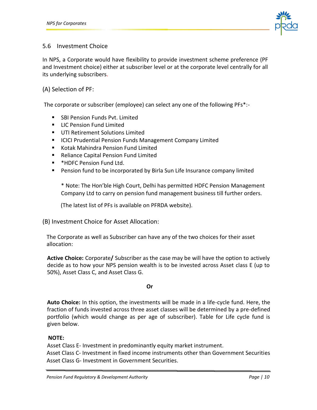

#### 5.6 Investment Choice

In NPS, a Corporate would have flexibility to provide investment scheme preference (PF and Investment choice) either at subscriber level or at the corporate level centrally for all its underlying subscribers.

#### (A) Selection of PF:

The corporate or subscriber (employee) can select any one of the following PFs\*:-

- SBI Pension Funds Pvt. Limited
- **E** LIC Pension Fund Limited
- UTI Retirement Solutions Limited
- **ICICI Prudential Pension Funds Management Company Limited**
- Kotak Mahindra Pension Fund Limited
- Reliance Capital Pension Fund Limited
- \*HDFC Pension Fund Ltd.
- **Pension fund to be incorporated by Birla Sun Life Insurance company limited**

\* Note: The Hon'ble High Court, Delhi has permitted [HDFC Pension Management](http://www.hdfcpension.com/)  [Company Ltd](http://www.hdfcpension.com/) to carry on pension fund management business till further orders.

(The latest list of PFs is available on PFRDA website).

(B) Investment Choice for Asset Allocation:

The Corporate as well as Subscriber can have any of the two choices for their asset allocation:

**Active Choice:** Corporate**/** Subscriber as the case may be will have the option to actively decide as to how your NPS pension wealth is to be invested across Asset class E (up to 50%), Asset Class C, and Asset Class G.

#### **Or**

**Auto Choice:** In this option, the investments will be made in a life-cycle fund. Here, the fraction of funds invested across three asset classes will be determined by a pre-defined portfolio (which would change as per age of subscriber). Table for Life cycle fund is given below.

#### **NOTE:**

 Asset Class E- Investment in predominantly equity market instrument. Asset Class C- Investment in fixed income instruments other than Government Securities Asset Class G- Investment in Government Securities.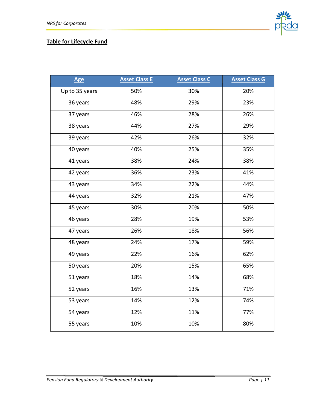

#### **Table for Lifecycle Fund**

| <b>Age</b>     | <b>Asset Class E</b> | <b>Asset Class C</b> | <b>Asset Class G</b> |
|----------------|----------------------|----------------------|----------------------|
| Up to 35 years | 50%                  | 30%                  | 20%                  |
| 36 years       | 48%                  | 29%                  | 23%                  |
| 37 years       | 46%                  | 28%                  | 26%                  |
| 38 years       | 44%                  | 27%                  | 29%                  |
| 39 years       | 42%                  | 26%                  | 32%                  |
| 40 years       | 40%                  | 25%                  | 35%                  |
| 41 years       | 38%                  | 24%                  | 38%                  |
| 42 years       | 36%                  | 23%                  | 41%                  |
| 43 years       | 34%                  | 22%                  | 44%                  |
| 44 years       | 32%                  | 21%                  | 47%                  |
| 45 years       | 30%                  | 20%                  | 50%                  |
| 46 years       | 28%                  | 19%                  | 53%                  |
| 47 years       | 26%                  | 18%                  | 56%                  |
| 48 years       | 24%                  | 17%                  | 59%                  |
| 49 years       | 22%                  | 16%                  | 62%                  |
| 50 years       | 20%                  | 15%                  | 65%                  |
| 51 years       | 18%                  | 14%                  | 68%                  |
| 52 years       | 16%                  | 13%                  | 71%                  |
| 53 years       | 14%                  | 12%                  | 74%                  |
| 54 years       | 12%                  | 11%                  | 77%                  |
| 55 years       | 10%                  | 10%                  | 80%                  |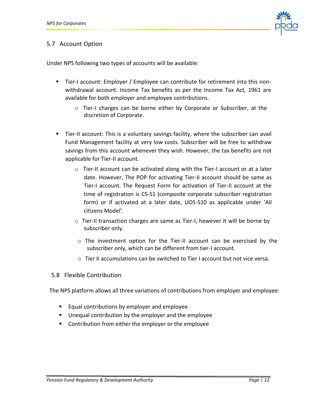

#### 5.7 Account Option

Under NPS following two types of accounts will be available:

- Tier-I account: Employer / Employee can contribute for retirement into this nonwithdrawal account. Income Tax benefits as per the Income Tax Act, 1961 are available for both employer and employee contributions.
	- o Tier-I charges can be borne either by Corporate or Subscriber, at the discretion of Corporate.
- Tier-II account: This is a voluntary savings facility, where the subscriber can avail Fund Management facility at very low costs. Subscriber will be free to withdraw savings from this account whenever they wish. However, the tax benefits are not applicable for Tier-II account.
	- $\circ$  Tier-II account can be activated along with the Tier-I account or at a later date. However, The POP for activating Tier-II account should be same as Tier-I account. The Request Form for activation of Tier-II account at the time of registration is CS-S1 (composite corporate subscriber registration form) or if activated at a later date, UOS-S10 as applicable under 'All citizens Model'.
	- o Tier-II transaction charges are same as Tier-I, however it will be borne by subscriber only.
	- o The investment option for the Tier-II account can be exercised by the subscriber only, which can be different from tier-I account.
	- $\circ$  Tier II accumulations can be switched to Tier I account but not vice versa.

#### 5.8 Flexible Contribution

The NPS platform allows all three variations of contributions from employer and employee:

- **Equal contributions by employer and employee**
- Unequal contribution by the employer and the employee
- **EX Contribution from either the employer or the employee**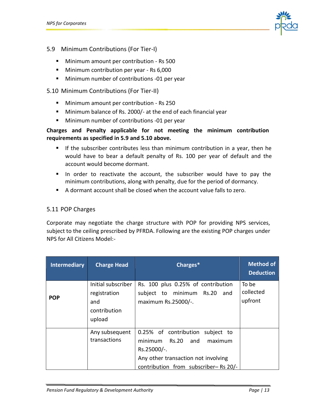

- 5.9 Minimum Contributions (For Tier-I)
	- Minimum amount per contribution Rs 500
	- **Minimum contribution per year Rs 6,000**
	- **Minimum number of contributions -01 per year**

#### 5.10 Minimum Contributions (For Tier-II)

- Minimum amount per contribution Rs 250
- **Minimum balance of Rs. 2000/- at the end of each financial year**
- **Minimum number of contributions -01 per year**

#### **Charges and Penalty applicable for not meeting the minimum contribution requirements as specified in 5.9 and 5.10 above.**

- If the subscriber contributes less than minimum contribution in a year, then he would have to bear a default penalty of Rs. 100 per year of default and the account would become dormant.
- In order to reactivate the account, the subscriber would have to pay the minimum contributions, along with penalty, due for the period of dormancy.
- A dormant account shall be closed when the account value falls to zero.

#### 5.11 POP Charges

Corporate may negotiate the charge structure with POP for providing NPS services, subject to the ceiling prescribed by PFRDA. Following are the existing POP charges under NPS for All Citizens Model:-

| <b>Intermediary</b> | <b>Charge Head</b>                                                  | Charges*                                                                                                                                                                    | <b>Method of</b><br><b>Deduction</b> |
|---------------------|---------------------------------------------------------------------|-----------------------------------------------------------------------------------------------------------------------------------------------------------------------------|--------------------------------------|
| <b>POP</b>          | Initial subscriber<br>registration<br>and<br>contribution<br>upload | Rs. 100 plus 0.25% of contribution<br>subject to minimum Rs.20<br>and<br>maximum Rs.25000/-.                                                                                | To be<br>collected<br>upfront        |
|                     | Any subsequent<br>transactions                                      | 0.25% of contribution subject to<br>minimum<br><b>Rs.20</b><br>and<br>maximum<br>Rs.25000/-.<br>Any other transaction not involving<br>contribution from subscriber-Rs 20/- |                                      |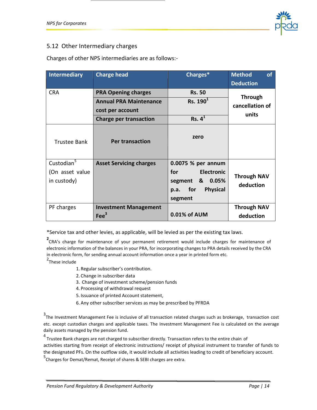

#### 5.12 Other Intermediary charges

Charges of other NPS intermediaries are as follows:-

| Intermediary                                             | <b>Charge head</b>                                                                                               | Charges*                                                                                                             | <b>Method</b><br>of<br><b>Deduction</b>    |
|----------------------------------------------------------|------------------------------------------------------------------------------------------------------------------|----------------------------------------------------------------------------------------------------------------------|--------------------------------------------|
| <b>CRA</b>                                               | <b>PRA Opening charges</b><br><b>Annual PRA Maintenance</b><br>cost per account<br><b>Charge per transaction</b> | <b>Rs. 50</b><br>Rs. 190 <sup>1</sup><br>Rs. 4 <sup>1</sup>                                                          | <b>Through</b><br>cancellation of<br>units |
| <b>Trustee Bank</b>                                      | <b>Per transaction</b>                                                                                           | zero                                                                                                                 |                                            |
| Custodian <sup>5</sup><br>(On asset value<br>in custody) | <b>Asset Servicing charges</b>                                                                                   | 0.0075 % per annum<br>for<br><b>Electronic</b><br>0.05%<br>segment<br>&<br><b>Physical</b><br>for<br>p.a.<br>segment | <b>Through NAV</b><br>deduction            |
| PF charges                                               | <b>Investment Management</b><br>$\text{Fe}^3$                                                                    | 0.01% of AUM                                                                                                         | <b>Through NAV</b><br>deduction            |

\*Service tax and other levies, as applicable, will be levied as per the existing tax laws.

**2** CRA's charge for maintenance of your permanent retirement would include charges for maintenance of electronic information of the balances in your PRA, for incorporating changes to PRA details received by the CRA in electronic form, for sending annual account information once a year in printed form etc.

<sup>2</sup>These include

- 1. Regular subscriber's contribution.
- 2. Change in subscriber data
- 3. Change of investment scheme/pension funds
- 4. Processing of withdrawal request
- 5. Issuance of printed Account statement,
- 6. Any other subscriber services as may be prescribed by PFRDA

3<br>The Investment Management Fee is inclusive of all transaction related charges such as brokerage, transaction cost etc. except custodian charges and applicable taxes. The Investment Management Fee is calculated on the average daily assets managed by the pension fund.

<sup>4</sup> Trustee Bank charges are not charged to subscriber directly. Transaction refers to the entire chain of activities starting from receipt of electronic instructions/ receipt of physical instrument to transfer of funds to the designated PFs. On the outflow side, it would include all activities leading to credit of beneficiary account.

5 Charges for Demat/Remat, Receipt of shares & SEBI charges are extra.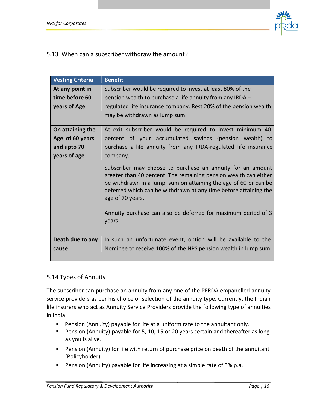

#### 5.13 When can a subscriber withdraw the amount?

| <b>Vesting Criteria</b> | <b>Benefit</b>                                                                                                                                                                                                                                                                                                                                                       |  |  |
|-------------------------|----------------------------------------------------------------------------------------------------------------------------------------------------------------------------------------------------------------------------------------------------------------------------------------------------------------------------------------------------------------------|--|--|
| At any point in         | Subscriber would be required to invest at least 80% of the                                                                                                                                                                                                                                                                                                           |  |  |
| time before 60          | pension wealth to purchase a life annuity from any IRDA -                                                                                                                                                                                                                                                                                                            |  |  |
| years of Age            | regulated life insurance company. Rest 20% of the pension wealth                                                                                                                                                                                                                                                                                                     |  |  |
|                         | may be withdrawn as lump sum.                                                                                                                                                                                                                                                                                                                                        |  |  |
|                         |                                                                                                                                                                                                                                                                                                                                                                      |  |  |
| On attaining the        | At exit subscriber would be required to invest minimum 40                                                                                                                                                                                                                                                                                                            |  |  |
| Age of 60 years         | percent of your accumulated savings (pension wealth) to                                                                                                                                                                                                                                                                                                              |  |  |
| and upto 70             | purchase a life annuity from any IRDA-regulated life insurance                                                                                                                                                                                                                                                                                                       |  |  |
| years of age            | company.                                                                                                                                                                                                                                                                                                                                                             |  |  |
|                         | Subscriber may choose to purchase an annuity for an amount<br>greater than 40 percent. The remaining pension wealth can either<br>be withdrawn in a lump sum on attaining the age of 60 or can be<br>deferred which can be withdrawn at any time before attaining the<br>age of 70 years.<br>Annuity purchase can also be deferred for maximum period of 3<br>years. |  |  |
| Death due to any        | In such an unfortunate event, option will be available to the                                                                                                                                                                                                                                                                                                        |  |  |
| cause                   | Nominee to receive 100% of the NPS pension wealth in lump sum.                                                                                                                                                                                                                                                                                                       |  |  |

#### 5.14 Types of Annuity

The subscriber can purchase an annuity from any one of the PFRDA empanelled annuity service providers as per his choice or selection of the annuity type. Currently, the Indian life insurers who act as Annuity Service Providers provide the following type of annuities in India:

- **Pension (Annuity) payable for life at a uniform rate to the annuitant only.**
- **Pension (Annuity) payable for 5, 10, 15 or 20 years certain and thereafter as long** as you is alive.
- **Pension (Annuity) for life with return of purchase price on death of the annuitant** (Policyholder).
- **Pension (Annuity) payable for life increasing at a simple rate of 3% p.a.**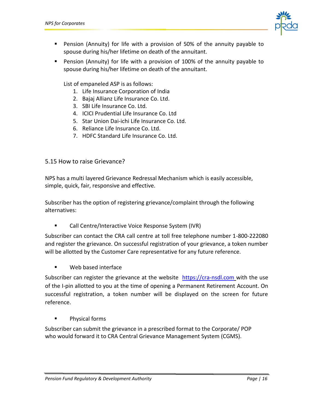

- Pension (Annuity) for life with a provision of 50% of the annuity payable to spouse during his/her lifetime on death of the annuitant.
- Pension (Annuity) for life with a provision of 100% of the annuity payable to spouse during his/her lifetime on death of the annuitant.

List of empaneled ASP is as follows:

- 1. Life Insurance Corporation of India
- 2. Bajaj Allianz Life Insurance Co. Ltd.
- 3. SBI Life Insurance Co. Ltd.
- 4. ICICI Prudential Life Insurance Co. Ltd
- 5. Star Union Dai-ichi Life Insurance Co. Ltd.
- 6. Reliance Life Insurance Co. Ltd.
- 7. HDFC Standard Life Insurance Co. Ltd.

#### 5.15 How to raise Grievance?

NPS has a multi layered Grievance Redressal Mechanism which is easily accessible, simple, quick, fair, responsive and effective.

Subscriber has the option of registering grievance/complaint through the following alternatives:

Call Centre/Interactive Voice Response System (IVR)

Subscriber can contact the CRA call centre at toll free telephone number 1-800-222080 and register the grievance. On successful registration of your grievance, a token number will be allotted by the Customer Care representative for any future reference.

Web based interface

Subscriber can register the grievance at the website  $https://cra-nsdl.com$  with the use of the I-pin allotted to you at the time of opening a Permanent Retirement Account. On successful registration, a token number will be displayed on the screen for future reference.

Physical forms

Subscriber can submit the grievance in a prescribed format to the Corporate/ POP who would forward it to CRA Central Grievance Management System (CGMS).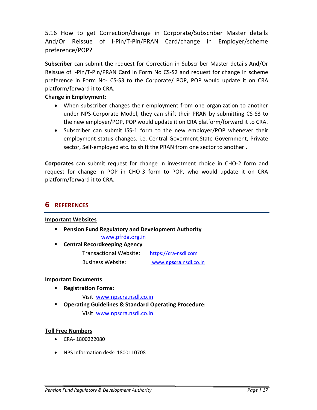5.16 How to get Correction/change in Corporate/Subscriber Master details And/Or Reissue of I-Pin/T-Pin/PRAN Card/change in Employer/scheme preference/POP?

**Subscriber** can submit the request for Correction in Subscriber Master details And/Or Reissue of I-Pin/T-Pin/PRAN Card in Form No CS-S2 and request for change in scheme preference in Form No- CS-S3 to the Corporate/ POP, POP would update it on CRA platform/forward it to CRA.

#### **Change in Employment:**

- When subscriber changes their employment from one organization to another under NPS-Corporate Model, they can shift their PRAN by submitting CS-S3 to the new employer/POP, POP would update it on CRA platform/forward it to CRA.
- Subscriber can submit ISS-1 form to the new employer/POP whenever their employment status changes. i.e. Central Goverment,State Government, Private sector, Self-employed etc. to shift the PRAN from one sector to another .

**Corporates** can submit request for change in investment choice in CHO-2 form and request for change in POP in CHO-3 form to POP, who would update it on CRA platform/forward it to CRA.

## **6 REFERENCES**

#### **Important Websites**

- **Pension Fund Regulatory and Development Authority** www.pfrda.org.in
- **Central Recordkeeping Agency**  Transactional Website: [https://cra-nsdl.com](https://cra-nsdl.com/) Business Website: www.**npscra**[.nsdl.co.in](http://www.npscra.nsdl.co.in/)

#### **Important Documents**

**Registration Forms:** 

Visi[t www.npscra.nsdl.co.in](http://www.npscra.nsdl.co.in/)

 **Operating Guidelines & Standard Operating Procedure:**  Visi[t www.npscra.nsdl.co.in](http://www.npscra.nsdl.co.in/)

#### **Toll Free Numbers**

- CRA- 1800222080
- NPS Information desk- 1800110708